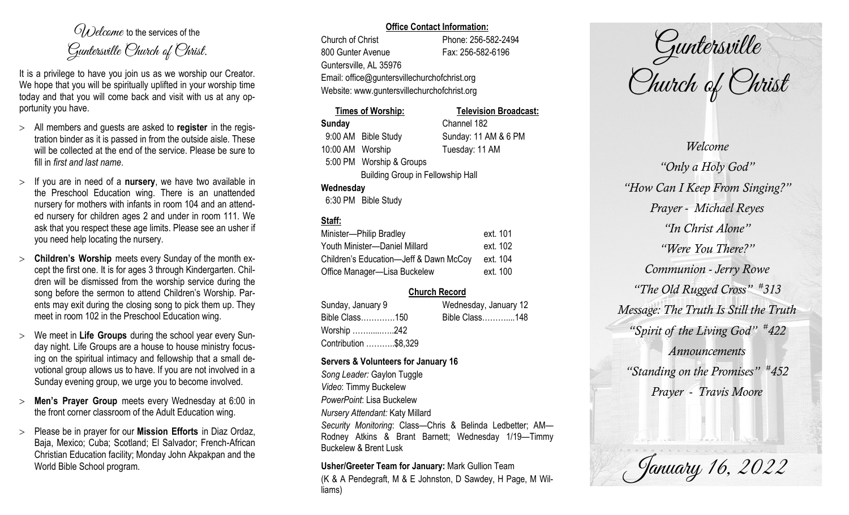$O(\lambda)$  elcame to the services of the Guntersville Church of Christ.

It is a privilege to have you join us as we worship our Creator. We hope that you will be spiritually uplifted in your worship time today and that you will come back and visit with us at any opportunity you have.

- All members and guests are asked to **register** in the registration binder as it is passed in from the outside aisle. These will be collected at the end of the service. Please be sure to fill in *first and last name*.
- $>$  If you are in need of a **nursery**, we have two available in the Preschool Education wing. There is an unattended nursery for mothers with infants in room 104 and an attended nursery for children ages 2 and under in room 111. We ask that you respect these age limits. Please see an usher if you need help locating the nursery.
- **Children's Worship** meets every Sunday of the month except the first one. It is for ages 3 through Kindergarten. Children will be dismissed from the worship service during the song before the sermon to attend Children's Worship. Parents may exit during the closing song to pick them up. They meet in room 102 in the Preschool Education wing.
- We meet in **Life Groups** during the school year every Sunday night. Life Groups are a house to house ministry focusing on the spiritual intimacy and fellowship that a small devotional group allows us to have. If you are not involved in a Sunday evening group, we urge you to become involved.
- **Men's Prayer Group** meets every Wednesday at 6:00 in the front corner classroom of the Adult Education wing.
- Please be in prayer for our **Mission Efforts** in Diaz Ordaz, Baja, Mexico; Cuba; Scotland; El Salvador; French-African Christian Education facility; Monday John Akpakpan and the World Bible School program.

#### **Office Contact Information:**

Church of Christ Phone: 256-582-2494 800 Gunter Avenue Fax: 256-582-6196 Guntersville, AL 35976 Email: office@guntersvillechurchofchrist.org Website: www.guntersvillechurchofchrist.org

## **Times of Worship: Television Broadcast: Sunday** Channel 182 9:00 AM Bible Study Sunday: 11 AM & 6 PM 10:00 AM Worship Tuesday: 11 AM 5:00 PM Worship & Groups Building Group in Fellowship Hall **Wednesday**

6:30 PM Bible Study

## **Staff:**

| Minister-Philip Bradley                | ext. 101 |
|----------------------------------------|----------|
| Youth Minister-Daniel Millard          | ext. 102 |
| Children's Education-Jeff & Dawn McCoy | ext. 104 |
| Office Manager-Lisa Buckelew           | ext. 100 |

## **Church Record**

| Sunday, January 9    | Wednesday, January 12 |
|----------------------|-----------------------|
| Bible Class150       | Bible Class148        |
| Worship 242          |                       |
| Contribution \$8,329 |                       |

#### **Servers & Volunteers for January 16**

*Song Leader:* Gaylon Tuggle *Video*: Timmy Buckelew *PowerPoint*: Lisa Buckelew *Nursery Attendant:* Katy Millard *Security Monitoring*: Class—Chris & Belinda Ledbetter; AM— Rodney Atkins & Brant Barnett; Wednesday 1/19—Timmy Buckelew & Brent Lusk

# **Usher/Greeter Team for January:** Mark Gullion Team

(K & A Pendegraft, M & E Johnston, D Sawdey, H Page, M Williams)

Guntersville Church of Christ

*Welcome "Only a Holy God" "How Can I Keep From Singing?" Prayer - Michael Reyes "In Christ Alone" "Were You There?" Communion - Jerry Rowe "The Old Rugged Cross" # 313 Message: The Truth Is Still the Truth "Spirit of the Living God" # 422 Announcements "Standing on the Promises" # 452 Prayer - Travis Moore*

January 16, 2022